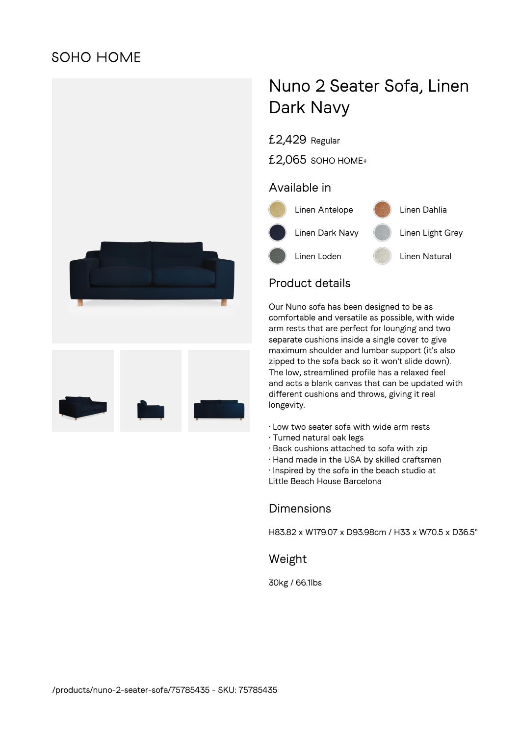# **SOHO HOME**



# Nuno 2 Seater Sofa, Linen Dark Navy

£2,429 Regular

£2,065 SOHO HOME+

#### Available in



## Product details

Our Nuno sofa has been designed to be as comfortable and versatile as possible, with wide arm rests that are perfect for lounging and two separate cushions inside a single cover to give maximum shoulder and lumbar support (it's also zipped to the sofa back so it won't slide down). The low, streamlined profile has a relaxed feel and acts a blank canvas that can be updated with different cushions and throws, giving it real longevity.

- Low two seater sofa with wide arm rests
- Turned natural oak legs
- Back cushions attached to sofa with zip
- Hand made in the USA by skilled craftsmen
- Inspired by the sofa in the beach studio at

Little Beach House Barcelona

#### **Dimensions**

H83.82 x W179.07 x D93.98cm / H33 x W70.5 x D36.5"

#### Weight

30kg / 66.1lbs